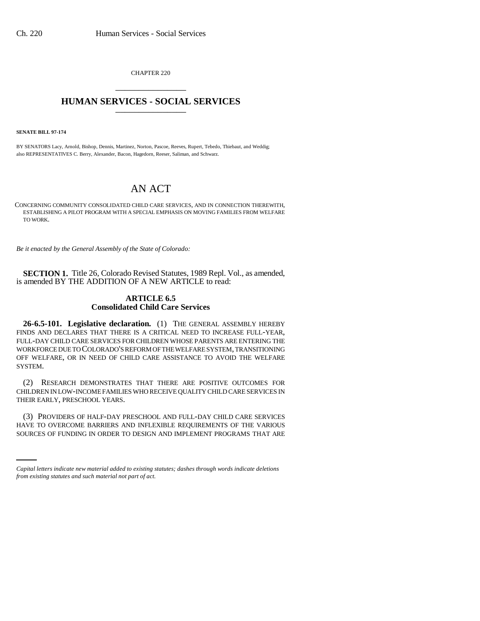CHAPTER 220 \_\_\_\_\_\_\_\_\_\_\_\_\_\_\_

## **HUMAN SERVICES - SOCIAL SERVICES** \_\_\_\_\_\_\_\_\_\_\_\_\_\_\_

**SENATE BILL 97-174**

BY SENATORS Lacy, Arnold, Bishop, Dennis, Martinez, Norton, Pascoe, Reeves, Rupert, Tebedo, Thiebaut, and Weddig; also REPRESENTATIVES C. Berry, Alexander, Bacon, Hagedorn, Reeser, Saliman, and Schwarz.

## AN ACT

CONCERNING COMMUNITY CONSOLIDATED CHILD CARE SERVICES, AND IN CONNECTION THEREWITH, ESTABLISHING A PILOT PROGRAM WITH A SPECIAL EMPHASIS ON MOVING FAMILIES FROM WELFARE TO WORK.

*Be it enacted by the General Assembly of the State of Colorado:*

**SECTION 1.** Title 26, Colorado Revised Statutes, 1989 Repl. Vol., as amended, is amended BY THE ADDITION OF A NEW ARTICLE to read:

## **ARTICLE 6.5 Consolidated Child Care Services**

**26-6.5-101. Legislative declaration.** (1) THE GENERAL ASSEMBLY HEREBY FINDS AND DECLARES THAT THERE IS A CRITICAL NEED TO INCREASE FULL-YEAR, FULL-DAY CHILD CARE SERVICES FOR CHILDREN WHOSE PARENTS ARE ENTERING THE WORKFORCE DUE TO COLORADO'S REFORM OF THE WELFARE SYSTEM, TRANSITIONING OFF WELFARE, OR IN NEED OF CHILD CARE ASSISTANCE TO AVOID THE WELFARE SYSTEM.

(2) RESEARCH DEMONSTRATES THAT THERE ARE POSITIVE OUTCOMES FOR CHILDREN IN LOW-INCOME FAMILIES WHO RECEIVE QUALITY CHILD CARE SERVICES IN THEIR EARLY, PRESCHOOL YEARS.

(3) PROVIDERS OF HALF-DAY PRESCHOOL AND FULL-DAY CHILD CARE SERVICES HAVE TO OVERCOME BARRIERS AND INFLEXIBLE REQUIREMENTS OF THE VARIOUS SOURCES OF FUNDING IN ORDER TO DESIGN AND IMPLEMENT PROGRAMS THAT ARE

*Capital letters indicate new material added to existing statutes; dashes through words indicate deletions from existing statutes and such material not part of act.*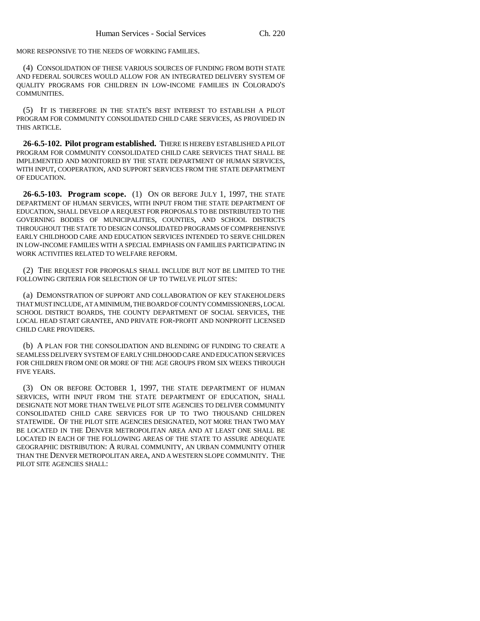MORE RESPONSIVE TO THE NEEDS OF WORKING FAMILIES.

(4) CONSOLIDATION OF THESE VARIOUS SOURCES OF FUNDING FROM BOTH STATE AND FEDERAL SOURCES WOULD ALLOW FOR AN INTEGRATED DELIVERY SYSTEM OF QUALITY PROGRAMS FOR CHILDREN IN LOW-INCOME FAMILIES IN COLORADO'S COMMUNITIES.

(5) IT IS THEREFORE IN THE STATE'S BEST INTEREST TO ESTABLISH A PILOT PROGRAM FOR COMMUNITY CONSOLIDATED CHILD CARE SERVICES, AS PROVIDED IN THIS ARTICLE.

**26-6.5-102. Pilot program established.** THERE IS HEREBY ESTABLISHED A PILOT PROGRAM FOR COMMUNITY CONSOLIDATED CHILD CARE SERVICES THAT SHALL BE IMPLEMENTED AND MONITORED BY THE STATE DEPARTMENT OF HUMAN SERVICES, WITH INPUT, COOPERATION, AND SUPPORT SERVICES FROM THE STATE DEPARTMENT OF EDUCATION.

**26-6.5-103. Program scope.** (1) ON OR BEFORE JULY 1, 1997, THE STATE DEPARTMENT OF HUMAN SERVICES, WITH INPUT FROM THE STATE DEPARTMENT OF EDUCATION, SHALL DEVELOP A REQUEST FOR PROPOSALS TO BE DISTRIBUTED TO THE GOVERNING BODIES OF MUNICIPALITIES, COUNTIES, AND SCHOOL DISTRICTS THROUGHOUT THE STATE TO DESIGN CONSOLIDATED PROGRAMS OF COMPREHENSIVE EARLY CHILDHOOD CARE AND EDUCATION SERVICES INTENDED TO SERVE CHILDREN IN LOW-INCOME FAMILIES WITH A SPECIAL EMPHASIS ON FAMILIES PARTICIPATING IN WORK ACTIVITIES RELATED TO WELFARE REFORM.

(2) THE REQUEST FOR PROPOSALS SHALL INCLUDE BUT NOT BE LIMITED TO THE FOLLOWING CRITERIA FOR SELECTION OF UP TO TWELVE PILOT SITES:

(a) DEMONSTRATION OF SUPPORT AND COLLABORATION OF KEY STAKEHOLDERS THAT MUST INCLUDE, AT A MINIMUM, THE BOARD OF COUNTY COMMISSIONERS, LOCAL SCHOOL DISTRICT BOARDS, THE COUNTY DEPARTMENT OF SOCIAL SERVICES, THE LOCAL HEAD START GRANTEE, AND PRIVATE FOR-PROFIT AND NONPROFIT LICENSED CHILD CARE PROVIDERS.

(b) A PLAN FOR THE CONSOLIDATION AND BLENDING OF FUNDING TO CREATE A SEAMLESS DELIVERY SYSTEM OF EARLY CHILDHOOD CARE AND EDUCATION SERVICES FOR CHILDREN FROM ONE OR MORE OF THE AGE GROUPS FROM SIX WEEKS THROUGH FIVE YEARS.

(3) ON OR BEFORE OCTOBER 1, 1997, THE STATE DEPARTMENT OF HUMAN SERVICES, WITH INPUT FROM THE STATE DEPARTMENT OF EDUCATION, SHALL DESIGNATE NOT MORE THAN TWELVE PILOT SITE AGENCIES TO DELIVER COMMUNITY CONSOLIDATED CHILD CARE SERVICES FOR UP TO TWO THOUSAND CHILDREN STATEWIDE. OF THE PILOT SITE AGENCIES DESIGNATED, NOT MORE THAN TWO MAY BE LOCATED IN THE DENVER METROPOLITAN AREA AND AT LEAST ONE SHALL BE LOCATED IN EACH OF THE FOLLOWING AREAS OF THE STATE TO ASSURE ADEQUATE GEOGRAPHIC DISTRIBUTION: A RURAL COMMUNITY, AN URBAN COMMUNITY OTHER THAN THE DENVER METROPOLITAN AREA, AND A WESTERN SLOPE COMMUNITY. THE PILOT SITE AGENCIES SHALL: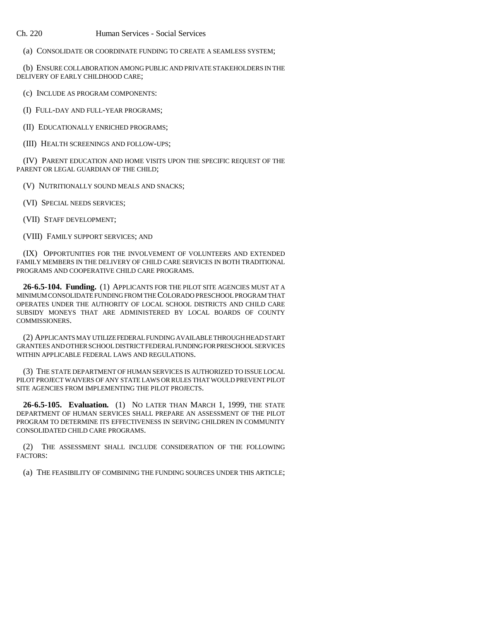Ch. 220 Human Services - Social Services

(a) CONSOLIDATE OR COORDINATE FUNDING TO CREATE A SEAMLESS SYSTEM;

(b) ENSURE COLLABORATION AMONG PUBLIC AND PRIVATE STAKEHOLDERS IN THE DELIVERY OF EARLY CHILDHOOD CARE;

(c) INCLUDE AS PROGRAM COMPONENTS:

(I) FULL-DAY AND FULL-YEAR PROGRAMS;

(II) EDUCATIONALLY ENRICHED PROGRAMS;

(III) HEALTH SCREENINGS AND FOLLOW-UPS;

(IV) PARENT EDUCATION AND HOME VISITS UPON THE SPECIFIC REQUEST OF THE PARENT OR LEGAL GUARDIAN OF THE CHILD;

(V) NUTRITIONALLY SOUND MEALS AND SNACKS;

(VI) SPECIAL NEEDS SERVICES;

(VII) STAFF DEVELOPMENT;

(VIII) FAMILY SUPPORT SERVICES; AND

(IX) OPPORTUNITIES FOR THE INVOLVEMENT OF VOLUNTEERS AND EXTENDED FAMILY MEMBERS IN THE DELIVERY OF CHILD CARE SERVICES IN BOTH TRADITIONAL PROGRAMS AND COOPERATIVE CHILD CARE PROGRAMS.

**26-6.5-104. Funding.** (1) APPLICANTS FOR THE PILOT SITE AGENCIES MUST AT A MINIMUM CONSOLIDATE FUNDING FROM THE COLORADO PRESCHOOL PROGRAM THAT OPERATES UNDER THE AUTHORITY OF LOCAL SCHOOL DISTRICTS AND CHILD CARE SUBSIDY MONEYS THAT ARE ADMINISTERED BY LOCAL BOARDS OF COUNTY COMMISSIONERS.

(2) APPLICANTS MAY UTILIZE FEDERAL FUNDING AVAILABLE THROUGH HEAD START GRANTEES AND OTHER SCHOOL DISTRICT FEDERAL FUNDING FOR PRESCHOOL SERVICES WITHIN APPLICABLE FEDERAL LAWS AND REGULATIONS.

(3) THE STATE DEPARTMENT OF HUMAN SERVICES IS AUTHORIZED TO ISSUE LOCAL PILOT PROJECT WAIVERS OF ANY STATE LAWS OR RULES THAT WOULD PREVENT PILOT SITE AGENCIES FROM IMPLEMENTING THE PILOT PROJECTS.

**26-6.5-105. Evaluation.** (1) NO LATER THAN MARCH 1, 1999, THE STATE DEPARTMENT OF HUMAN SERVICES SHALL PREPARE AN ASSESSMENT OF THE PILOT PROGRAM TO DETERMINE ITS EFFECTIVENESS IN SERVING CHILDREN IN COMMUNITY CONSOLIDATED CHILD CARE PROGRAMS.

(2) THE ASSESSMENT SHALL INCLUDE CONSIDERATION OF THE FOLLOWING FACTORS:

(a) THE FEASIBILITY OF COMBINING THE FUNDING SOURCES UNDER THIS ARTICLE;